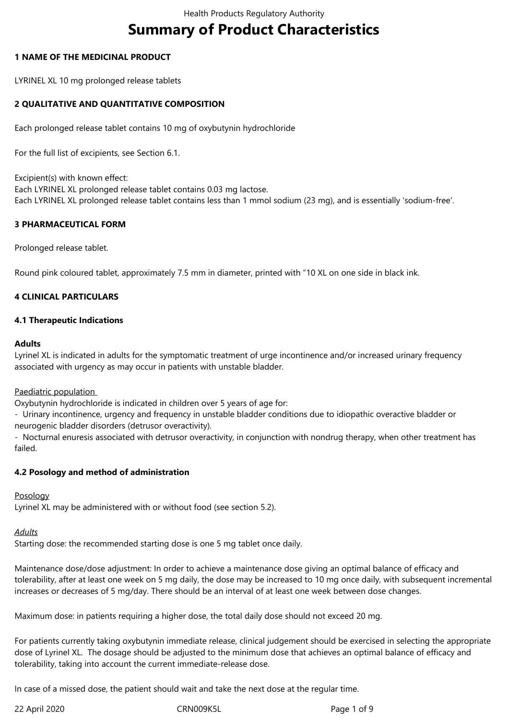# **Summary of Product Characteristics**

## **1 NAME OF THE MEDICINAL PRODUCT**

LYRINEL XL 10 mg prolonged release tablets

# **2 QUALITATIVE AND QUANTITATIVE COMPOSITION**

Each prolonged release tablet contains 10 mg of oxybutynin hydrochloride

For the full list of excipients, see Section 6.1.

Excipient(s) with known effect: Each LYRINEL XL prolonged release tablet contains 0.03 mg lactose. Each LYRINEL XL prolonged release tablet contains less than 1 mmol sodium (23 mg), and is essentially 'sodium-free'.

#### **3 PHARMACEUTICAL FORM**

Prolonged release tablet.

Round pink coloured tablet, approximately 7.5 mm in diameter, printed with "10 XL on one side in black ink.

## **4 CLINICAL PARTICULARS**

#### **4.1 Therapeutic Indications**

#### **Adults**

Lyrinel XL is indicated in adults for the symptomatic treatment of urge incontinence and/or increased urinary frequency associated with urgency as may occur in patients with unstable bladder.

#### Paediatric population

Oxybutynin hydrochloride is indicated in children over 5 years of age for:

- Urinary incontinence, urgency and frequency in unstable bladder conditions due to idiopathic overactive bladder or neurogenic bladder disorders (detrusor overactivity).

- Nocturnal enuresis associated with detrusor overactivity, in conjunction with nondrug therapy, when other treatment has failed.

#### **4.2 Posology and method of administration**

#### Posology

Lyrinel XL may be administered with or without food (see section 5.2).

#### *Adults*

Starting dose: the recommended starting dose is one 5 mg tablet once daily.

Maintenance dose/dose adjustment: In order to achieve a maintenance dose giving an optimal balance of efficacy and tolerability, after at least one week on 5 mg daily, the dose may be increased to 10 mg once daily, with subsequent incremental increases or decreases of 5 mg/day. There should be an interval of at least one week between dose changes.

Maximum dose: in patients requiring a higher dose, the total daily dose should not exceed 20 mg.

For patients currently taking oxybutynin immediate release, clinical judgement should be exercised in selecting the appropriate dose of Lyrinel XL. The dosage should be adjusted to the minimum dose that achieves an optimal balance of efficacy and tolerability, taking into account the current immediate-release dose.

In case of a missed dose, the patient should wait and take the next dose at the regular time.

22 April 2020 CRN009K5L Page 1 of 9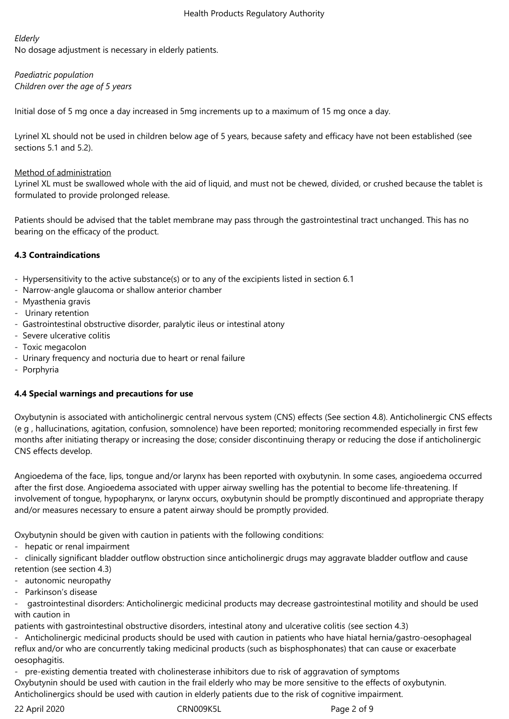# *Elderly*

No dosage adjustment is necessary in elderly patients.

*Paediatric population Children over the age of 5 years*

Initial dose of 5 mg once a day increased in 5mg increments up to a maximum of 15 mg once a day.

Lyrinel XL should not be used in children below age of 5 years, because safety and efficacy have not been established (see sections 5.1 and 5.2).

# Method of administration

Lyrinel XL must be swallowed whole with the aid of liquid, and must not be chewed, divided, or crushed because the tablet is formulated to provide prolonged release.

Patients should be advised that the tablet membrane may pass through the gastrointestinal tract unchanged. This has no bearing on the efficacy of the product.

# **4.3 Contraindications**

- Hypersensitivity to the active substance(s) or to any of the excipients listed in section 6.1
- Narrow-angle glaucoma or shallow anterior chamber
- Myasthenia gravis
- Urinary retention
- Gastrointestinal obstructive disorder, paralytic ileus or intestinal atony
- Severe ulcerative colitis
- Toxic megacolon
- Urinary frequency and nocturia due to heart or renal failure
- Porphyria

# **4.4 Special warnings and precautions for use**

Oxybutynin is associated with anticholinergic central nervous system (CNS) effects (See section 4.8). Anticholinergic CNS effects (e g , hallucinations, agitation, confusion, somnolence) have been reported; monitoring recommended especially in first few months after initiating therapy or increasing the dose; consider discontinuing therapy or reducing the dose if anticholinergic CNS effects develop.

Angioedema of the face, lips, tongue and/or larynx has been reported with oxybutynin. In some cases, angioedema occurred after the first dose. Angioedema associated with upper airway swelling has the potential to become life-threatening. If involvement of tongue, hypopharynx, or larynx occurs, oxybutynin should be promptly discontinued and appropriate therapy and/or measures necessary to ensure a patent airway should be promptly provided.

Oxybutynin should be given with caution in patients with the following conditions:

- hepatic or renal impairment

- clinically significant bladder outflow obstruction since anticholinergic drugs may aggravate bladder outflow and cause retention (see section 4.3)

- autonomic neuropathy
- Parkinson's disease

- gastrointestinal disorders: Anticholinergic medicinal products may decrease gastrointestinal motility and should be used with caution in

patients with gastrointestinal obstructive disorders, intestinal atony and ulcerative colitis (see section 4.3)

- Anticholinergic medicinal products should be used with caution in patients who have hiatal hernia/gastro-oesophageal reflux and/or who are concurrently taking medicinal products (such as bisphosphonates) that can cause or exacerbate oesophagitis.

- pre-existing dementia treated with cholinesterase inhibitors due to risk of aggravation of symptoms Oxybutynin should be used with caution in the frail elderly who may be more sensitive to the effects of oxybutynin. Anticholinergics should be used with caution in elderly patients due to the risk of cognitive impairment.

22 April 2020 CRN009K5L Page 2 of 9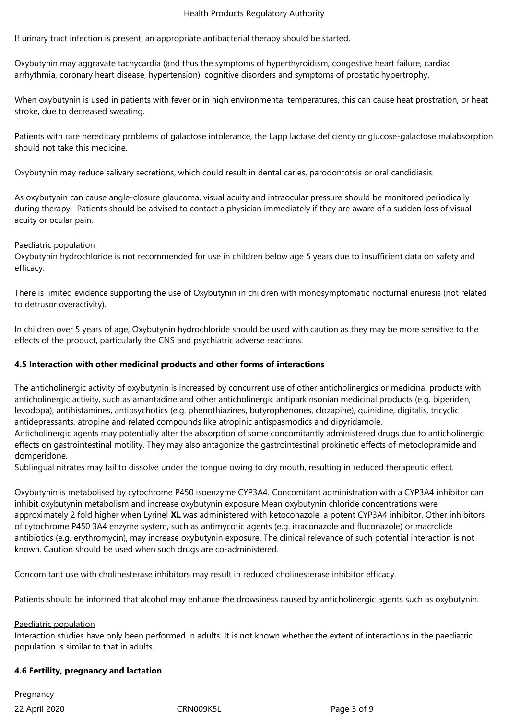If urinary tract infection is present, an appropriate antibacterial therapy should be started.

Oxybutynin may aggravate tachycardia (and thus the symptoms of hyperthyroidism, congestive heart failure, cardiac arrhythmia, coronary heart disease, hypertension), cognitive disorders and symptoms of prostatic hypertrophy.

When oxybutynin is used in patients with fever or in high environmental temperatures, this can cause heat prostration, or heat stroke, due to decreased sweating.

Patients with rare hereditary problems of galactose intolerance, the Lapp lactase deficiency or glucose-galactose malabsorption should not take this medicine.

Oxybutynin may reduce salivary secretions, which could result in dental caries, parodontotsis or oral candidiasis.

As oxybutynin can cause angle-closure glaucoma, visual acuity and intraocular pressure should be monitored periodically during therapy. Patients should be advised to contact a physician immediately if they are aware of a sudden loss of visual acuity or ocular pain.

#### Paediatric population

Oxybutynin hydrochloride is not recommended for use in children below age 5 years due to insufficient data on safety and efficacy.

There is limited evidence supporting the use of Oxybutynin in children with monosymptomatic nocturnal enuresis (not related to detrusor overactivity).

In children over 5 years of age, Oxybutynin hydrochloride should be used with caution as they may be more sensitive to the effects of the product, particularly the CNS and psychiatric adverse reactions.

#### **4.5 Interaction with other medicinal products and other forms of interactions**

The anticholinergic activity of oxybutynin is increased by concurrent use of other anticholinergics or medicinal products with anticholinergic activity, such as amantadine and other anticholinergic antiparkinsonian medicinal products (e.g. biperiden, levodopa), antihistamines, antipsychotics (e.g. phenothiazines, butyrophenones, clozapine), quinidine, digitalis, tricyclic antidepressants, atropine and related compounds like atropinic antispasmodics and dipyridamole. Anticholinergic agents may potentially alter the absorption of some concomitantly administered drugs due to anticholinergic effects on gastrointestinal motility. They may also antagonize the gastrointestinal prokinetic effects of metoclopramide and domperidone.

Sublingual nitrates may fail to dissolve under the tongue owing to dry mouth, resulting in reduced therapeutic effect.

Oxybutynin is metabolised by cytochrome P450 isoenzyme CYP3A4. Concomitant administration with a CYP3A4 inhibitor can inhibit oxybutynin metabolism and increase oxybutynin exposure.Mean oxybutynin chloride concentrations were approximately 2 fold higher when Lyrinel **XL** was administered with ketoconazole, a potent CYP3A4 inhibitor. Other inhibitors of cytochrome P450 3A4 enzyme system, such as antimycotic agents (e.g. itraconazole and fluconazole) or macrolide antibiotics (e.g. erythromycin), may increase oxybutynin exposure. The clinical relevance of such potential interaction is not known. Caution should be used when such drugs are co-administered.

Concomitant use with cholinesterase inhibitors may result in reduced cholinesterase inhibitor efficacy.

Patients should be informed that alcohol may enhance the drowsiness caused by anticholinergic agents such as oxybutynin.

#### Paediatric population

Interaction studies have only been performed in adults. It is not known whether the extent of interactions in the paediatric population is similar to that in adults.

#### **4.6 Fertility, pregnancy and lactation**

22 April 2020 CRN009K5L Page 3 of 9 Pregnancy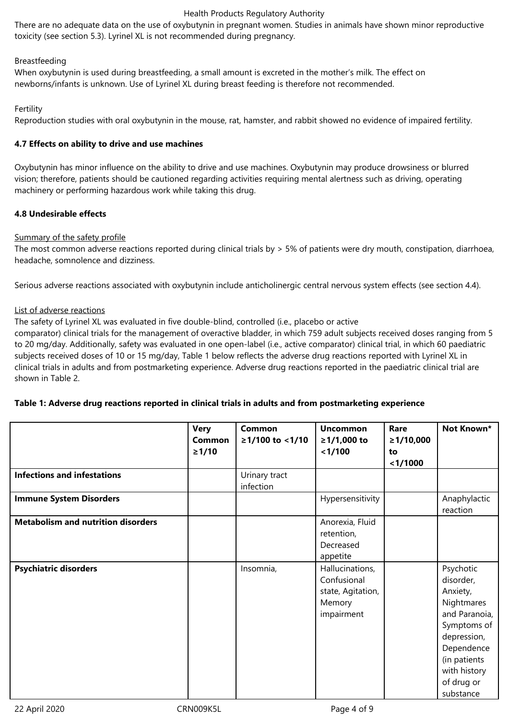There are no adequate data on the use of oxybutynin in pregnant women. Studies in animals have shown minor reproductive toxicity (see section 5.3). Lyrinel XL is not recommended during pregnancy.

# Breastfeeding

When oxybutynin is used during breastfeeding, a small amount is excreted in the mother's milk. The effect on newborns/infants is unknown. Use of Lyrinel XL during breast feeding is therefore not recommended.

# Fertility

Reproduction studies with oral oxybutynin in the mouse, rat, hamster, and rabbit showed no evidence of impaired fertility.

# **4.7 Effects on ability to drive and use machines**

Oxybutynin has minor influence on the ability to drive and use machines. Oxybutynin may produce drowsiness or blurred vision; therefore, patients should be cautioned regarding activities requiring mental alertness such as driving, operating machinery or performing hazardous work while taking this drug.

# **4.8 Undesirable effects**

## Summary of the safety profile

The most common adverse reactions reported during clinical trials by > 5% of patients were dry mouth, constipation, diarrhoea, headache, somnolence and dizziness.

Serious adverse reactions associated with oxybutynin include anticholinergic central nervous system effects (see section 4.4).

## List of adverse reactions

The safety of Lyrinel XL was evaluated in five double-blind, controlled (i.e., placebo or active comparator) clinical trials for the management of overactive bladder, in which 759 adult subjects received doses ranging from 5 to 20 mg/day. Additionally, safety was evaluated in one open-label (i.e., active comparator) clinical trial, in which 60 paediatric subjects received doses of 10 or 15 mg/day, Table 1 below reflects the adverse drug reactions reported with Lyrinel XL in clinical trials in adults and from postmarketing experience. Adverse drug reactions reported in the paediatric clinical trial are shown in Table 2.

# **Table 1: Adverse drug reactions reported in clinical trials in adults and from postmarketing experience**

|                                           | <b>Very</b><br>Common<br>$\geq 1/10$ | Common<br>≥1/100 to <1/10  | <b>Uncommon</b><br>≥1/1,000 to<br>< 1/100                                   | Rare<br>≥1/10,000<br>to<br>$1/1000$ | Not Known*                                                                                                                                                               |
|-------------------------------------------|--------------------------------------|----------------------------|-----------------------------------------------------------------------------|-------------------------------------|--------------------------------------------------------------------------------------------------------------------------------------------------------------------------|
| <b>Infections and infestations</b>        |                                      | Urinary tract<br>infection |                                                                             |                                     |                                                                                                                                                                          |
| <b>Immune System Disorders</b>            |                                      |                            | Hypersensitivity                                                            |                                     | Anaphylactic<br>reaction                                                                                                                                                 |
| <b>Metabolism and nutrition disorders</b> |                                      |                            | Anorexia, Fluid<br>retention,<br>Decreased<br>appetite                      |                                     |                                                                                                                                                                          |
| <b>Psychiatric disorders</b>              |                                      | Insomnia,                  | Hallucinations,<br>Confusional<br>state, Agitation,<br>Memory<br>impairment |                                     | Psychotic<br>disorder,<br>Anxiety,<br>Nightmares<br>and Paranoia,<br>Symptoms of<br>depression,<br>Dependence<br>(in patients<br>with history<br>of drug or<br>substance |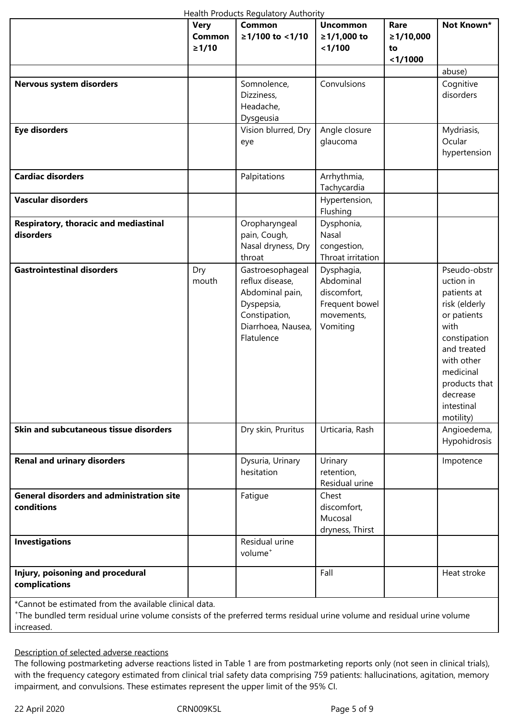|                                                                | <b>Very</b><br>Common<br>≥1/10 | de la componeción de la contente de la componeción de la contenta de la contenta de la contenta de la contenta<br><b>Common</b><br>≥1/100 to <1/10 | <b>Uncommon</b><br>≥1/1,000 to<br>< 1/100                                          | Rare<br>≥1/10,000<br>to<br>$1/1000$ | Not Known*                                                                                                                                                                                         |
|----------------------------------------------------------------|--------------------------------|----------------------------------------------------------------------------------------------------------------------------------------------------|------------------------------------------------------------------------------------|-------------------------------------|----------------------------------------------------------------------------------------------------------------------------------------------------------------------------------------------------|
|                                                                |                                |                                                                                                                                                    |                                                                                    |                                     | abuse)                                                                                                                                                                                             |
| Nervous system disorders                                       |                                | Somnolence,<br>Dizziness,<br>Headache,<br>Dysgeusia                                                                                                | Convulsions                                                                        |                                     | Cognitive<br>disorders                                                                                                                                                                             |
| <b>Eye disorders</b>                                           |                                | Vision blurred, Dry<br>eye                                                                                                                         | Angle closure<br>glaucoma                                                          |                                     | Mydriasis,<br>Ocular<br>hypertension                                                                                                                                                               |
| <b>Cardiac disorders</b>                                       |                                | Palpitations                                                                                                                                       | Arrhythmia,<br>Tachycardia                                                         |                                     |                                                                                                                                                                                                    |
| <b>Vascular disorders</b>                                      |                                |                                                                                                                                                    | Hypertension,<br>Flushing                                                          |                                     |                                                                                                                                                                                                    |
| Respiratory, thoracic and mediastinal<br>disorders             |                                | Oropharyngeal<br>pain, Cough,<br>Nasal dryness, Dry<br>throat                                                                                      | Dysphonia,<br>Nasal<br>congestion,<br>Throat irritation                            |                                     |                                                                                                                                                                                                    |
| <b>Gastrointestinal disorders</b>                              | Dry<br>mouth                   | Gastroesophageal<br>reflux disease,<br>Abdominal pain,<br>Dyspepsia,<br>Constipation,<br>Diarrhoea, Nausea,<br>Flatulence                          | Dysphagia,<br>Abdominal<br>discomfort,<br>Frequent bowel<br>movements,<br>Vomiting |                                     | Pseudo-obstr<br>uction in<br>patients at<br>risk (elderly<br>or patients<br>with<br>constipation<br>and treated<br>with other<br>medicinal<br>products that<br>decrease<br>intestinal<br>motility) |
| Skin and subcutaneous tissue disorders                         |                                | Dry skin, Pruritus                                                                                                                                 | Urticaria, Rash                                                                    |                                     | Angioedema,<br>Hypohidrosis                                                                                                                                                                        |
| <b>Renal and urinary disorders</b>                             |                                | Dysuria, Urinary<br>hesitation                                                                                                                     | Urinary<br>retention,<br>Residual urine                                            |                                     | Impotence                                                                                                                                                                                          |
| <b>General disorders and administration site</b><br>conditions |                                | Fatigue                                                                                                                                            | Chest<br>discomfort,<br>Mucosal<br>dryness, Thirst                                 |                                     |                                                                                                                                                                                                    |
| <b>Investigations</b>                                          |                                | Residual urine<br>volume <sup>+</sup>                                                                                                              |                                                                                    |                                     |                                                                                                                                                                                                    |
| Injury, poisoning and procedural<br>complications              |                                |                                                                                                                                                    | Fall                                                                               |                                     | Heat stroke                                                                                                                                                                                        |

\*Cannot be estimated from the available clinical data.

+ The bundled term residual urine volume consists of the preferred terms residual urine volume and residual urine volume increased.

Description of selected adverse reactions

The following postmarketing adverse reactions listed in Table 1 are from postmarketing reports only (not seen in clinical trials), with the frequency category estimated from clinical trial safety data comprising 759 patients: hallucinations, agitation, memory impairment, and convulsions. These estimates represent the upper limit of the 95% CI.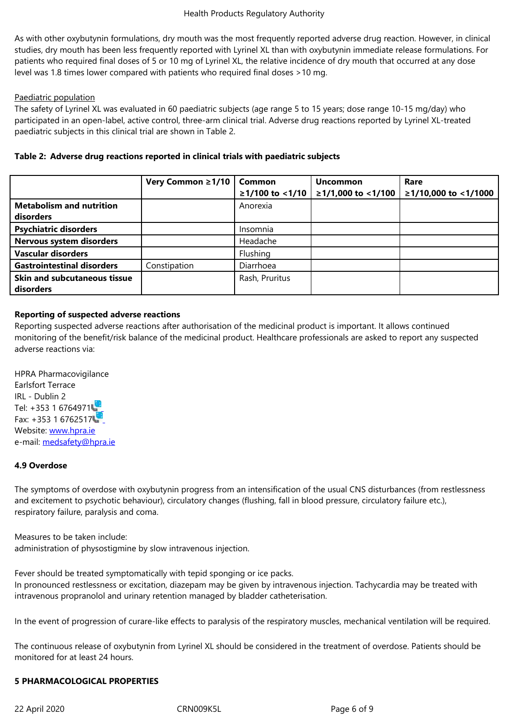As with our mouth was the most frequently reported adverse draw model adverse drug reported adverse drug reported adverse drug reported adverse drug reaction. However, in clinical contraction. However, in clinical contrac studies, dry mouth has been less frequently reported with Lyrinel XL than with oxybutynin immediate release formulations. For patients who required final doses of 5 or 10 mg of Lyrinel XL, the relative incidence of dry mouth that occurred at any dose level was 1.8 times lower compared with patients who required final doses >10 mg.

# Paediatric population

The safety of Lyrinel XL was evaluated in 60 paediatric subjects (age range 5 to 15 years; dose range 10-15 mg/day) who participated in an open-label, active control, three-arm clinical trial. Adverse drug reactions reported by Lyrinel XL-treated paediatric subjects in this clinical trial are shown in Table 2.

|                                   | Very Common ≥1/10 | <b>Common</b><br>$≥1/100$ to <1/10 | <b>Uncommon</b><br>≥1/1,000 to <1/100 | Rare<br>≥1/10,000 to <1/1000 |
|-----------------------------------|-------------------|------------------------------------|---------------------------------------|------------------------------|
| <b>Metabolism and nutrition</b>   |                   | Anorexia                           |                                       |                              |
| disorders                         |                   |                                    |                                       |                              |
| <b>Psychiatric disorders</b>      |                   | Insomnia                           |                                       |                              |
| Nervous system disorders          |                   | Headache                           |                                       |                              |
| <b>Vascular disorders</b>         |                   | Flushing                           |                                       |                              |
| <b>Gastrointestinal disorders</b> | Constipation      | Diarrhoea                          |                                       |                              |
| Skin and subcutaneous tissue      |                   | Rash, Pruritus                     |                                       |                              |
| disorders                         |                   |                                    |                                       |                              |

#### **Table 2: Adverse drug reactions reported in clinical trials with paediatric subjects**

## **Reporting of suspected adverse reactions**

Reporting suspected adverse reactions after authorisation of the medicinal product is important. It allows continued monitoring of the benefit/risk balance of the medicinal product. Healthcare professionals are asked to report any suspected adverse reactions via:

HPRA Pharmacovigilance Earlsfort Terrace IRL - Dublin 2 Tel: +353 1 6764971 Fax: +353 1 6762517 Website: www.hpra.ie e-mail: medsafety@hpra.ie

# **4.9 Over[dose](http://www.hpra.ie/)**

The sy[mptoms of overdose](mailto:imbpharmacovigilance@imb.ie) with oxybutynin progress from an intensification of the usual CNS disturbances (from restlessness and excitement to psychotic behaviour), circulatory changes (flushing, fall in blood pressure, circulatory failure etc.), respiratory failure, paralysis and coma.

Measures to be taken include: administration of physostigmine by slow intravenous injection.

Fever should be treated symptomatically with tepid sponging or ice packs. In pronounced restlessness or excitation, diazepam may be given by intravenous injection. Tachycardia may be treated with intravenous propranolol and urinary retention managed by bladder catheterisation.

In the event of progression of curare-like effects to paralysis of the respiratory muscles, mechanical ventilation will be required.

The continuous release of oxybutynin from Lyrinel XL should be considered in the treatment of overdose. Patients should be monitored for at least 24 hours.

#### **5 PHARMACOLOGICAL PROPERTIES**

22 April 2020 CRN009K5L Page 6 of 9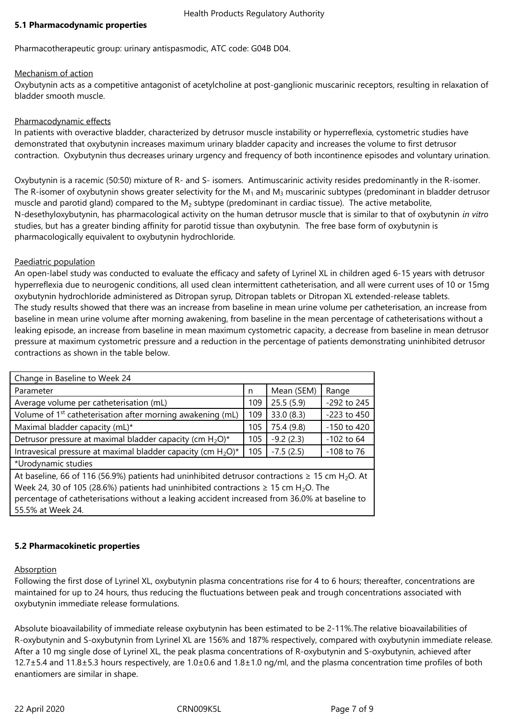#### **5.1 Pharmacodynamic properties**

Pharmacotherapeutic group: urinary antispasmodic, ATC code: G04B D04.

# Mechanism of action

Oxybutynin acts as a competitive antagonist of acetylcholine at post-ganglionic muscarinic receptors, resulting in relaxation of bladder smooth muscle.

# Pharmacodynamic effects

In patients with overactive bladder, characterized by detrusor muscle instability or hyperreflexia, cystometric studies have demonstrated that oxybutynin increases maximum urinary bladder capacity and increases the volume to first detrusor contraction. Oxybutynin thus decreases urinary urgency and frequency of both incontinence episodes and voluntary urination.

Oxybutynin is a racemic (50:50) mixture of R- and S- isomers. Antimuscarinic activity resides predominantly in the R-isomer. The R-isomer of oxybutynin shows greater selectivity for the  $M_1$  and  $M_3$  muscarinic subtypes (predominant in bladder detrusor muscle and parotid gland) compared to the  $M<sub>2</sub>$  subtype (predominant in cardiac tissue). The active metabolite, N-desethyloxybutynin, has pharmacological activity on the human detrusor muscle that is similar to that of oxybutynin *in vitro* studies, but has a greater binding affinity for parotid tissue than oxybutynin. The free base form of oxybutynin is pharmacologically equivalent to oxybutynin hydrochloride.

## Paediatric population

An open-label study was conducted to evaluate the efficacy and safety of Lyrinel XL in children aged 6-15 years with detrusor hyperreflexia due to neurogenic conditions, all used clean intermittent catheterisation, and all were current uses of 10 or 15mg oxybutynin hydrochloride administered as Ditropan syrup, Ditropan tablets or Ditropan XL extended-release tablets. The study results showed that there was an increase from baseline in mean urine volume per catheterisation, an increase from baseline in mean urine volume after morning awakening, from baseline in the mean percentage of catheterisations without a leaking episode, an increase from baseline in mean maximum cystometric capacity, a decrease from baseline in mean detrusor pressure at maximum cystometric pressure and a reduction in the percentage of patients demonstrating uninhibited detrusor contractions as shown in the table below.

| Change in Baseline to Week 24                                                                                   |     |             |                 |  |  |
|-----------------------------------------------------------------------------------------------------------------|-----|-------------|-----------------|--|--|
| Parameter                                                                                                       | n   | Mean (SEM)  | Range           |  |  |
| Average volume per catheterisation (mL)                                                                         | 109 | 25.5(5.9)   | -292 to 245     |  |  |
| Volume of 1 <sup>st</sup> catheterisation after morning awakening (mL)                                          | 109 | 33.0 (8.3)  | $-223$ to $450$ |  |  |
| Maximal bladder capacity (mL)*                                                                                  | 105 | 75.4 (9.8)  | -150 to 420     |  |  |
| Detrusor pressure at maximal bladder capacity (cm $H_2O$ )*                                                     | 105 | $-9.2(2.3)$ | $-102$ to 64    |  |  |
| Intravesical pressure at maximal bladder capacity (cm $H_2O$ )*                                                 | 105 | $-7.5(2.5)$ | $-108$ to 76    |  |  |
| *Urodynamic studies                                                                                             |     |             |                 |  |  |
| At baseline, 66 of 116 (56.9%) patients had uninhibited detrusor contractions $\geq$ 15 cm H <sub>2</sub> O. At |     |             |                 |  |  |
| Week 24, 30 of 105 (28.6%) patients had uninhibited contractions $\geq$ 15 cm H <sub>2</sub> O. The             |     |             |                 |  |  |
| percentage of catheterisations without a leaking accident increased from 36.0% at baseline to                   |     |             |                 |  |  |
| 55.5% at Week 24.                                                                                               |     |             |                 |  |  |

# **5.2 Pharmacokinetic properties**

Absorption

Following the first dose of Lyrinel XL, oxybutynin plasma concentrations rise for 4 to 6 hours; thereafter, concentrations are maintained for up to 24 hours, thus reducing the fluctuations between peak and trough concentrations associated with oxybutynin immediate release formulations.

Absolute bioavailability of immediate release oxybutynin has been estimated to be 2-11%.The relative bioavailabilities of R-oxybutynin and S-oxybutynin from Lyrinel XL are 156% and 187% respectively, compared with oxybutynin immediate release. After a 10 mg single dose of Lyrinel XL, the peak plasma concentrations of R-oxybutynin and S-oxybutynin, achieved after  $12.7\pm5.4$  and  $11.8\pm5.3$  hours respectively, are  $1.0\pm0.6$  and  $1.8\pm1.0$  ng/ml, and the plasma concentration time profiles of both enantiomers are similar in shape.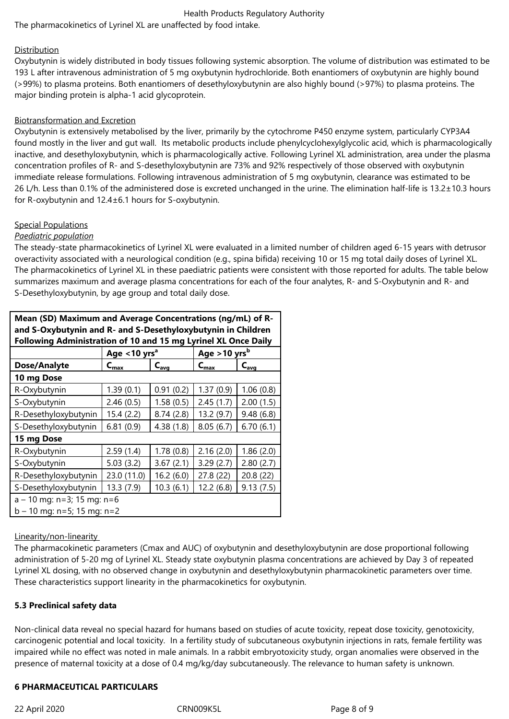The pharmacokinetics of Lyrinel XL are unaffected by food intake.

# **Distribution**

Oxybutynin is widely distributed in body tissues following systemic absorption. The volume of distribution was estimated to be 193 L after intravenous administration of 5 mg oxybutynin hydrochloride. Both enantiomers of oxybutynin are highly bound (>99%) to plasma proteins. Both enantiomers of desethyloxybutynin are also highly bound (>97%) to plasma proteins. The major binding protein is alpha-1 acid glycoprotein.

# Biotransformation and Excretion

Oxybutynin is extensively metabolised by the liver, primarily by the cytochrome P450 enzyme system, particularly CYP3A4 found mostly in the liver and gut wall. Its metabolic products include phenylcyclohexylglycolic acid, which is pharmacologically inactive, and desethyloxybutynin, which is pharmacologically active. Following Lyrinel XL administration, area under the plasma concentration profiles of R- and S-desethyloxybutynin are 73% and 92% respectively of those observed with oxybutynin immediate release formulations. Following intravenous administration of 5 mg oxybutynin, clearance was estimated to be 26 L/h. Less than 0.1% of the administered dose is excreted unchanged in the urine. The elimination half-life is 13.2±10.3 hours for R-oxybutynin and 12.4±6.1 hours for S-oxybutynin.

# Special Populations

## *Paediatric population*

The steady-state pharmacokinetics of Lyrinel XL were evaluated in a limited number of children aged 6-15 years with detrusor overactivity associated with a neurological condition (e.g., spina bifida) receiving 10 or 15 mg total daily doses of Lyrinel XL. The pharmacokinetics of Lyrinel XL in these paediatric patients were consistent with those reported for adults. The table below summarizes maximum and average plasma concentrations for each of the four analytes, R- and S-Oxybutynin and R- and S-Desethyloxybutynin, by age group and total daily dose.

| Mean (SD) Maximum and Average Concentrations (ng/mL) of R-<br>and S-Oxybutynin and R- and S-Desethyloxybutynin in Children |                                      |           |                            |                  |  |  |
|----------------------------------------------------------------------------------------------------------------------------|--------------------------------------|-----------|----------------------------|------------------|--|--|
| Following Administration of 10 and 15 mg Lyrinel XL Once Daily                                                             |                                      |           |                            |                  |  |  |
|                                                                                                                            | Age $<$ 10 yrs <sup>a</sup>          |           | Age $>10$ yrs <sup>b</sup> |                  |  |  |
| Dose/Analyte                                                                                                               | $C_{\text{avg}}$<br>$C_{\text{max}}$ |           | $C_{\text{max}}$           | $C_{\text{avg}}$ |  |  |
| 10 mg Dose                                                                                                                 |                                      |           |                            |                  |  |  |
| R-Oxybutynin                                                                                                               | 1.39(0.1)                            | 0.91(0.2) | 1.37(0.9)                  | 1.06(0.8)        |  |  |
| S-Oxybutynin                                                                                                               | 2.46(0.5)                            | 1.58(0.5) | 2.45(1.7)                  | 2.00(1.5)        |  |  |
| R-Desethyloxybutynin                                                                                                       | 15.4(2.2)                            | 8.74(2.8) | 13.2 (9.7)                 | 9.48(6.8)        |  |  |
| S-Desethyloxybutynin                                                                                                       | 6.81(0.9)                            | 4.38(1.8) | 8.05(6.7)                  | 6.70(6.1)        |  |  |
| 15 mg Dose                                                                                                                 |                                      |           |                            |                  |  |  |
| R-Oxybutynin                                                                                                               | 2.59(1.4)                            | 1.78(0.8) | 2.16(2.0)                  | 1.86(2.0)        |  |  |
| S-Oxybutynin                                                                                                               | 5.03(3.2)                            | 3.67(2.1) | 3.29(2.7)                  | 2.80(2.7)        |  |  |
| R-Desethyloxybutynin                                                                                                       | 23.0 (11.0)                          | 16.2(6.0) | 27.8 (22)                  | 20.8(22)         |  |  |
| S-Desethyloxybutynin                                                                                                       | 13.3(7.9)                            | 10.3(6.1) | 12.2(6.8)                  | 9.13(7.5)        |  |  |
| $a - 10$ mg: n=3; 15 mg: n=6                                                                                               |                                      |           |                            |                  |  |  |
| $b - 10$ mg: n=5; 15 mg: n=2                                                                                               |                                      |           |                            |                  |  |  |

#### Linearity/non-linearity

The pharmacokinetic parameters (Cmax and AUC) of oxybutynin and desethyloxybutynin are dose proportional following administration of 5-20 mg of Lyrinel XL. Steady state oxybutynin plasma concentrations are achieved by Day 3 of repeated Lyrinel XL dosing, with no observed change in oxybutynin and desethyloxybutynin pharmacokinetic parameters over time. These characteristics support linearity in the pharmacokinetics for oxybutynin.

# **5.3 Preclinical safety data**

Non-clinical data reveal no special hazard for humans based on studies of acute toxicity, repeat dose toxicity, genotoxicity, carcinogenic potential and local toxicity. In a fertility study of subcutaneous oxybutynin injections in rats, female fertility was impaired while no effect was noted in male animals. In a rabbit embryotoxicity study, organ anomalies were observed in the presence of maternal toxicity at a dose of 0.4 mg/kg/day subcutaneously. The relevance to human safety is unknown.

# **6 PHARMACEUTICAL PARTICULARS**

22 April 2020 CRN009K5L Page 8 of 9